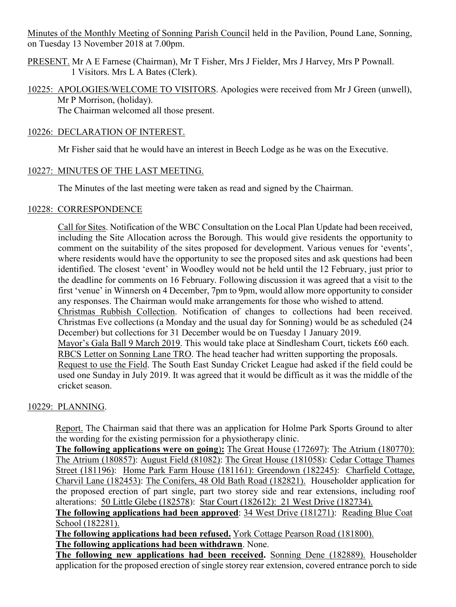Minutes of the Monthly Meeting of Sonning Parish Council held in the Pavilion, Pound Lane, Sonning, on Tuesday 13 November 2018 at 7.00pm.

- PRESENT. Mr A E Farnese (Chairman), Mr T Fisher, Mrs J Fielder, Mrs J Harvey, Mrs P Pownall. 1 Visitors. Mrs L A Bates (Clerk).
- 10225: APOLOGIES/WELCOME TO VISITORS. Apologies were received from Mr J Green (unwell), Mr P Morrison, (holiday). The Chairman welcomed all those present.

## 10226: DECLARATION OF INTEREST.

Mr Fisher said that he would have an interest in Beech Lodge as he was on the Executive.

## 10227: MINUTES OF THE LAST MEETING.

The Minutes of the last meeting were taken as read and signed by the Chairman.

## 10228: CORRESPONDENCE

Call for Sites. Notification of the WBC Consultation on the Local Plan Update had been received, including the Site Allocation across the Borough. This would give residents the opportunity to comment on the suitability of the sites proposed for development. Various venues for 'events', where residents would have the opportunity to see the proposed sites and ask questions had been identified. The closest 'event' in Woodley would not be held until the 12 February, just prior to the deadline for comments on 16 February. Following discussion it was agreed that a visit to the first 'venue' in Winnersh on 4 December, 7pm to 9pm, would allow more opportunity to consider any responses. The Chairman would make arrangements for those who wished to attend. Christmas Rubbish Collection. Notification of changes to collections had been received. Christmas Eve collections (a Monday and the usual day for Sonning) would be as scheduled (24 December) but collections for 31 December would be on Tuesday 1 January 2019. Mayor's Gala Ball 9 March 2019. This would take place at Sindlesham Court, tickets £60 each. RBCS Letter on Sonning Lane TRO. The head teacher had written supporting the proposals. Request to use the Field. The South East Sunday Cricket League had asked if the field could be used one Sunday in July 2019. It was agreed that it would be difficult as it was the middle of the cricket season.

# 10229: PLANNING.

Report. The Chairman said that there was an application for Holme Park Sports Ground to alter the wording for the existing permission for a physiotherapy clinic.

**The following applications were on going**)**:** The Great House (172697): The Atrium (180770): The Atrium (180857): August Field (81082): The Great House (181058): Cedar Cottage Thames Street (181196): Home Park Farm House (181161): Greendown (182245): Charfield Cottage, Charvil Lane (182453): The Conifers, 48 Old Bath Road (182821). Householder application for the proposed erection of part single, part two storey side and rear extensions, including roof alterations: 50 Little Glebe (182578): Star Court (182612): 21 West Drive (182734).

**The following applications had been approved**: 34 West Drive (181271): Reading Blue Coat School (182281).

**The following applications had been refused.** York Cottage Pearson Road (181800). **The following applications had been withdrawn**. None.

**The following new applications had been received.** Sonning Dene (182889). Householder application for the proposed erection of single storey rear extension, covered entrance porch to side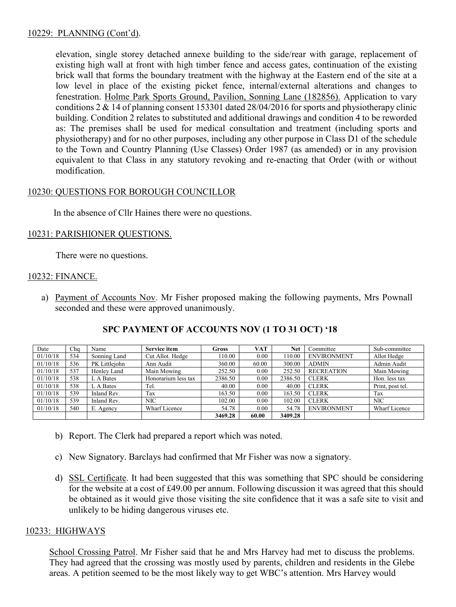## 10229: PLANNING (Cont'd).

elevation, single storey detached annexe building to the side/rear with garage, replacement of existing high wall at front with high timber fence and access gates, continuation of the existing brick wall that forms the boundary treatment with the highway at the Eastern end of the site at a low level in place of the existing picket fence, internal/external alterations and changes to fenestration. Holme Park Sports Ground, Pavilion, Sonning Lane (182856). Application to vary conditions 2 & 14 of planning consent 153301 dated 28/04/2016 for sports and physiotherapy clinic building. Condition 2 relates to substituted and additional drawings and condition 4 to be reworded as: The premises shall be used for medical consultation and treatment (including sports and physiotherapy) and for no other purposes, including any other purpose in Class D1 of the schedule to the Town and Country Planning (Use Classes) Order 1987 (as amended) or in any provision equivalent to that Class in any statutory revoking and re-enacting that Order (with or without modification.

# 10230: QUESTIONS FOR BOROUGH COUNCILLOR

In the absence of Cllr Haines there were no questions.

## 10231: PARISHIONER QUESTIONS.

There were no questions.

### 10232: FINANCE.

a) Payment of Accounts Nov. Mr Fisher proposed making the following payments, Mrs Pownall seconded and these were approved unanimously.

| Date     | Cha | Name          | <b>Service item</b> | Gross   | <b>VAT</b> | Net     | Committee          | Sub-committee    |
|----------|-----|---------------|---------------------|---------|------------|---------|--------------------|------------------|
| 01/10/18 | 534 | Sonning Land  | Cut Allot. Hedge    | 110.00  | 0.00       | 110.00  | <b>ENVIRONMENT</b> | Allot Hedge      |
| 01/10/18 | 536 | PK Littleiohn | Ann Audit           | 360.00  | 60.00      | 300.00  | <b>ADMIN</b>       | Admin Audit      |
| 01/10/18 | 537 | Henley Land   | Main Mowing         | 252.50  | 0.00       | 252.50  | <b>RECREATION</b>  | Main Mowing      |
| 01/10/18 | 538 | L A Bates     | Honorarium less tax | 2386.50 | 0.00       | 2386.50 | <b>CLERK</b>       | Hon. less tax    |
| 01/10/18 | 538 | L A Bates     | Tel.                | 40.00   | 0.00       | 40.00   | <b>CLERK</b>       | Print, post tel. |
| 01/10/18 | 539 | Inland Rev.   | Tax                 | 163.50  | 0.00       | 163.50  | <b>CLERK</b>       | Tax              |
| 01/10/18 | 539 | Inland Rev.   | <b>NIC</b>          | 102.00  | 0.00       | 102.00  | <b>CLERK</b>       | NIC              |
| 01/10/18 | 540 | E. Agency     | Wharf Licence       | 54.78   | 0.00       | 54.78   | <b>ENVIRONMENT</b> | Wharf Licence    |
|          |     |               |                     | 3469.28 | 60.00      | 3409.28 |                    |                  |

# **SPC PAYMENT OF ACCOUNTS NOV (1 TO 31 OCT) '18**

- b) Report. The Clerk had prepared a report which was noted.
- c) New Signatory. Barclays had confirmed that Mr Fisher was now a signatory.
- d) SSL Certificate. It had been suggested that this was something that SPC should be considering for the website at a cost of £49.00 per annum. Following discussion it was agreed that this should be obtained as it would give those visiting the site confidence that it was a safe site to visit and unlikely to be hiding dangerous viruses etc.

## 10233: HIGHWAYS

School Crossing Patrol. Mr Fisher said that he and Mrs Harvey had met to discuss the problems. They had agreed that the crossing was mostly used by parents, children and residents in the Glebe areas. A petition seemed to be the most likely way to get WBC's attention. Mrs Harvey would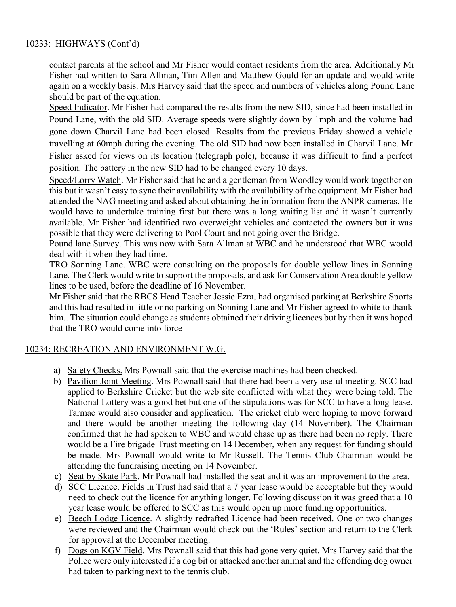# 10233: HIGHWAYS (Cont'd)

contact parents at the school and Mr Fisher would contact residents from the area. Additionally Mr Fisher had written to Sara Allman, Tim Allen and Matthew Gould for an update and would write again on a weekly basis. Mrs Harvey said that the speed and numbers of vehicles along Pound Lane should be part of the equation.

Speed Indicator. Mr Fisher had compared the results from the new SID, since had been installed in Pound Lane, with the old SID. Average speeds were slightly down by 1mph and the volume had gone down Charvil Lane had been closed. Results from the previous Friday showed a vehicle travelling at 60mph during the evening. The old SID had now been installed in Charvil Lane. Mr Fisher asked for views on its location (telegraph pole), because it was difficult to find a perfect position. The battery in the new SID had to be changed every 10 days.

Speed/Lorry Watch. Mr Fisher said that he and a gentleman from Woodley would work together on this but it wasn't easy to sync their availability with the availability of the equipment. Mr Fisher had attended the NAG meeting and asked about obtaining the information from the ANPR cameras. He would have to undertake training first but there was a long waiting list and it wasn't currently available. Mr Fisher had identified two overweight vehicles and contacted the owners but it was possible that they were delivering to Pool Court and not going over the Bridge.

Pound lane Survey. This was now with Sara Allman at WBC and he understood that WBC would deal with it when they had time.

TRO Sonning Lane. WBC were consulting on the proposals for double yellow lines in Sonning Lane. The Clerk would write to support the proposals, and ask for Conservation Area double yellow lines to be used, before the deadline of 16 November.

Mr Fisher said that the RBCS Head Teacher Jessie Ezra, had organised parking at Berkshire Sports and this had resulted in little or no parking on Sonning Lane and Mr Fisher agreed to white to thank him.. The situation could change as students obtained their driving licences but by then it was hoped that the TRO would come into force

## 10234: RECREATION AND ENVIRONMENT W.G.

- a) Safety Checks. Mrs Pownall said that the exercise machines had been checked.
- b) Pavilion Joint Meeting. Mrs Pownall said that there had been a very useful meeting. SCC had applied to Berkshire Cricket but the web site conflicted with what they were being told. The National Lottery was a good bet but one of the stipulations was for SCC to have a long lease. Tarmac would also consider and application. The cricket club were hoping to move forward and there would be another meeting the following day (14 November). The Chairman confirmed that he had spoken to WBC and would chase up as there had been no reply. There would be a Fire brigade Trust meeting on 14 December, when any request for funding should be made. Mrs Pownall would write to Mr Russell. The Tennis Club Chairman would be attending the fundraising meeting on 14 November.
- c) Seat by Skate Park. Mr Pownall had installed the seat and it was an improvement to the area.
- d) SCC Licence. Fields in Trust had said that a 7 year lease would be acceptable but they would need to check out the licence for anything longer. Following discussion it was greed that a 10 year lease would be offered to SCC as this would open up more funding opportunities.
- e) Beech Lodge Licence. A slightly redrafted Licence had been received. One or two changes were reviewed and the Chairman would check out the 'Rules' section and return to the Clerk for approval at the December meeting.
- f) Dogs on KGV Field. Mrs Pownall said that this had gone very quiet. Mrs Harvey said that the Police were only interested if a dog bit or attacked another animal and the offending dog owner had taken to parking next to the tennis club.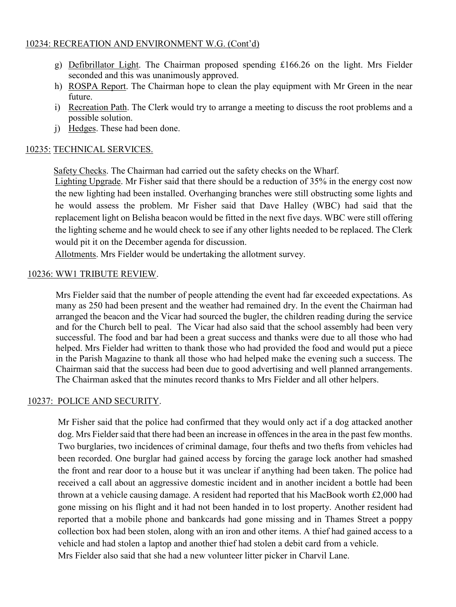## 10234: RECREATION AND ENVIRONMENT W.G. (Cont'd)

- g) Defibrillator Light. The Chairman proposed spending £166.26 on the light. Mrs Fielder seconded and this was unanimously approved.
- h) ROSPA Report. The Chairman hope to clean the play equipment with Mr Green in the near future.
- i) Recreation Path. The Clerk would try to arrange a meeting to discuss the root problems and a possible solution.
- j) Hedges. These had been done.

## 10235: TECHNICAL SERVICES.

Safety Checks. The Chairman had carried out the safety checks on the Wharf.

Lighting Upgrade. Mr Fisher said that there should be a reduction of 35% in the energy cost now the new lighting had been installed. Overhanging branches were still obstructing some lights and he would assess the problem. Mr Fisher said that Dave Halley (WBC) had said that the replacement light on Belisha beacon would be fitted in the next five days. WBC were still offering the lighting scheme and he would check to see if any other lights needed to be replaced. The Clerk would pit it on the December agenda for discussion.

Allotments. Mrs Fielder would be undertaking the allotment survey.

### 10236: WW1 TRIBUTE REVIEW.

Mrs Fielder said that the number of people attending the event had far exceeded expectations. As many as 250 had been present and the weather had remained dry. In the event the Chairman had arranged the beacon and the Vicar had sourced the bugler, the children reading during the service and for the Church bell to peal. The Vicar had also said that the school assembly had been very successful. The food and bar had been a great success and thanks were due to all those who had helped. Mrs Fielder had written to thank those who had provided the food and would put a piece in the Parish Magazine to thank all those who had helped make the evening such a success. The Chairman said that the success had been due to good advertising and well planned arrangements. The Chairman asked that the minutes record thanks to Mrs Fielder and all other helpers.

## 10237: POLICE AND SECURITY.

Mr Fisher said that the police had confirmed that they would only act if a dog attacked another dog. Mrs Fielder said that there had been an increase in offences in the area in the past few months. Two burglaries, two incidences of criminal damage, four thefts and two thefts from vehicles had been recorded. One burglar had gained access by forcing the garage lock another had smashed the front and rear door to a house but it was unclear if anything had been taken. The police had received a call about an aggressive domestic incident and in another incident a bottle had been thrown at a vehicle causing damage. A resident had reported that his MacBook worth £2,000 had gone missing on his flight and it had not been handed in to lost property. Another resident had reported that a mobile phone and bankcards had gone missing and in Thames Street a poppy collection box had been stolen, along with an iron and other items. A thief had gained access to a vehicle and had stolen a laptop and another thief had stolen a debit card from a vehicle. Mrs Fielder also said that she had a new volunteer litter picker in Charvil Lane.